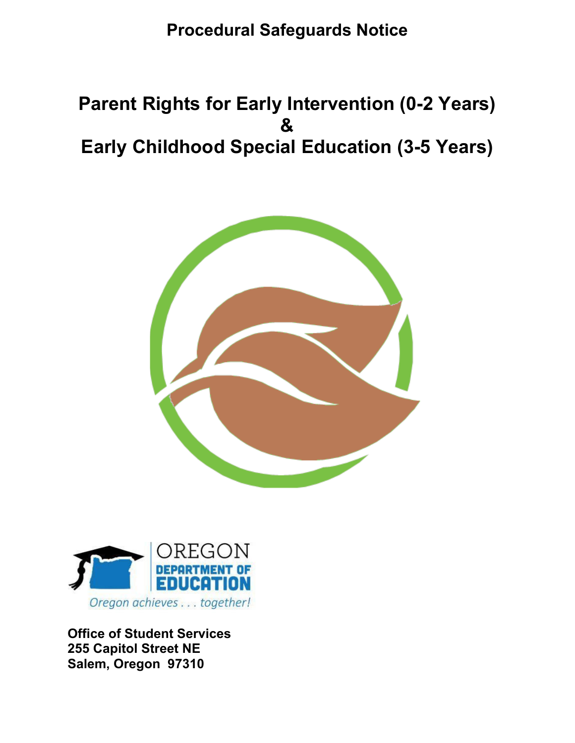## **Procedural Safeguards Notice**

# **Parent Rights for Early Intervention (0-2 Years) & Early Childhood Special Education (3-5 Years)**





**Office of Student Services 255 Capitol Street NE Salem, Oregon 97310**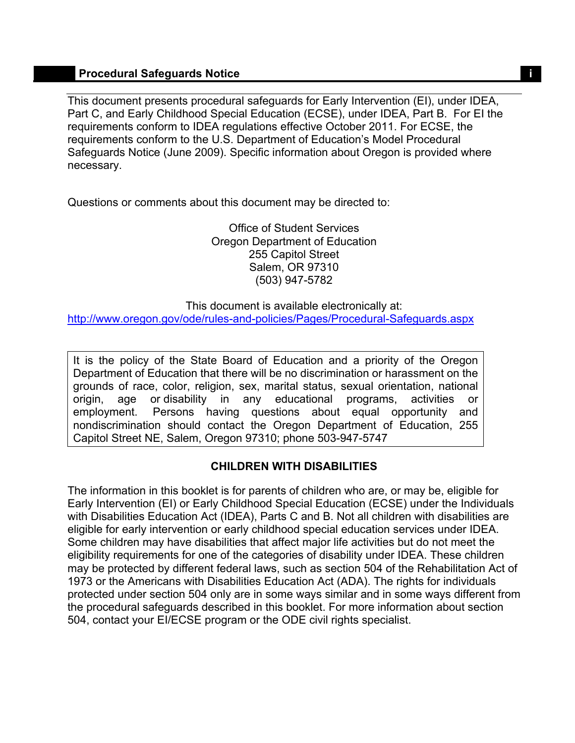## **Procedural Safeguards Notice in the set of the set of the set of the set of the set of the set of the set of the set of the set of the set of the set of the set of the set of the set of the set of the set of the set of th**

This document presents procedural safeguards for Early Intervention (EI), under IDEA, Part C, and Early Childhood Special Education (ECSE), under IDEA, Part B. For EI the requirements conform to IDEA regulations effective October 2011. For ECSE, the requirements conform to the U.S. Department of Education's Model Procedural Safeguards Notice (June 2009). Specific information about Oregon is provided where necessary.

Questions or comments about this document may be directed to:

Office of Student Services Oregon Department of Education 255 Capitol Street Salem, OR 97310 (503) 947-5782

http://www.oregon.gov/ode/rules-and-policies/Pages/Procedural-Safeguards.aspx This document is available electronically at:

It is the policy of the State Board of Education and a priority of the Oregon Department of Education that there will be no discrimination or harassment on the grounds of race, color, religion, sex, marital status, sexual orientation, national origin, age or disability in any educational programs, activities or employment. Persons having questions about equal opportunity and nondiscrimination should contact the Oregon Department of Education, 255 Capitol Street NE, Salem, Oregon 97310; phone 503-947-5747

## **CHILDREN WITH DISABILITIES**

The information in this booklet is for parents of children who are, or may be, eligible for Early Intervention (EI) or Early Childhood Special Education (ECSE) under the Individuals with Disabilities Education Act (IDEA), Parts C and B. Not all children with disabilities are eligible for early intervention or early childhood special education services under IDEA. Some children may have disabilities that affect major life activities but do not meet the eligibility requirements for one of the categories of disability under IDEA. These children may be protected by different federal laws, such as section 504 of the Rehabilitation Act of 1973 or the Americans with Disabilities Education Act (ADA). The rights for individuals protected under section 504 only are in some ways similar and in some ways different from the procedural safeguards described in this booklet. For more information about section 504, contact your EI/ECSE program or the ODE civil rights specialist.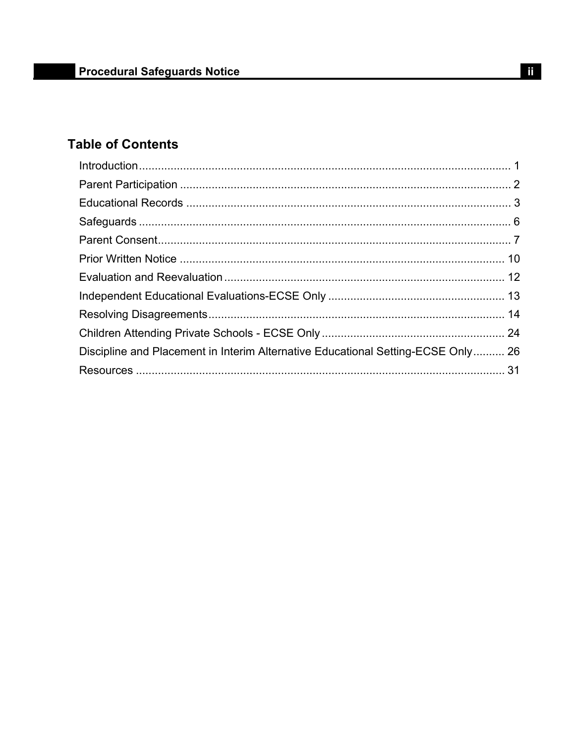## **Table of Contents**

| Discipline and Placement in Interim Alternative Educational Setting-ECSE Only 26 |  |
|----------------------------------------------------------------------------------|--|
|                                                                                  |  |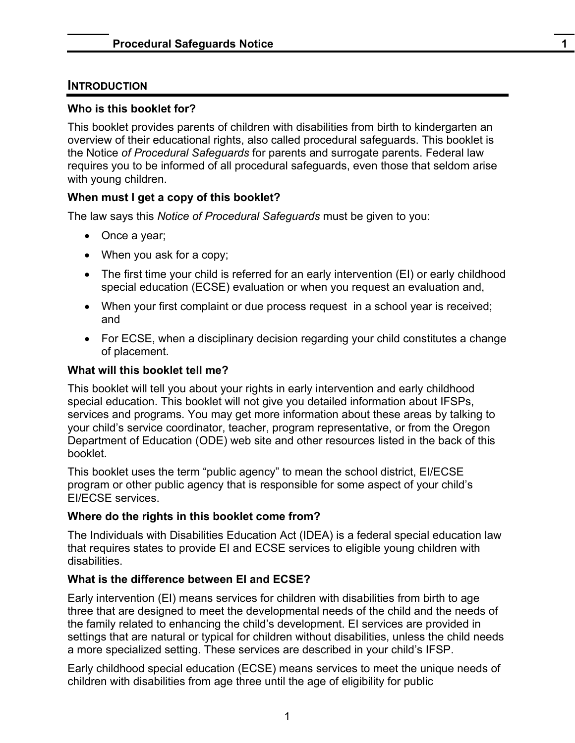## <span id="page-3-0"></span>**INTRODUCTION**

### **Who is this booklet for?**

This booklet provides parents of children with disabilities from birth to kindergarten an overview of their educational rights, also called procedural safeguards. This booklet is the Notice *of Procedural Safeguards* for parents and surrogate parents. Federal law requires you to be informed of all procedural safeguards, even those that seldom arise with young children.

## **When must I get a copy of this booklet?**

The law says this *Notice of Procedural Safeguards* must be given to you:

- Once a year;
- When you ask for a copy;
- The first time your child is referred for an early intervention (EI) or early childhood special education (ECSE) evaluation or when you request an evaluation and,
- When your first complaint or due process request in a school year is received; and
- For ECSE, when a disciplinary decision regarding your child constitutes a change of placement.

#### **What will this booklet tell me?**

This booklet will tell you about your rights in early intervention and early childhood special education. This booklet will not give you detailed information about IFSPs, services and programs. You may get more information about these areas by talking to your child's service coordinator, teacher, program representative, or from the Oregon Department of Education (ODE) web site and other resources listed in the back of this booklet.

This booklet uses the term "public agency" to mean the school district, EI/ECSE program or other public agency that is responsible for some aspect of your child's EI/ECSE services.

## **Where do the rights in this booklet come from?**

The Individuals with Disabilities Education Act (IDEA) is a federal special education law that requires states to provide EI and ECSE services to eligible young children with disabilities.

## **What is the difference between EI and ECSE?**

Early intervention (EI) means services for children with disabilities from birth to age three that are designed to meet the developmental needs of the child and the needs of the family related to enhancing the child's development. EI services are provided in settings that are natural or typical for children without disabilities, unless the child needs a more specialized setting. These services are described in your child's IFSP.

Early childhood special education (ECSE) means services to meet the unique needs of children with disabilities from age three until the age of eligibility for public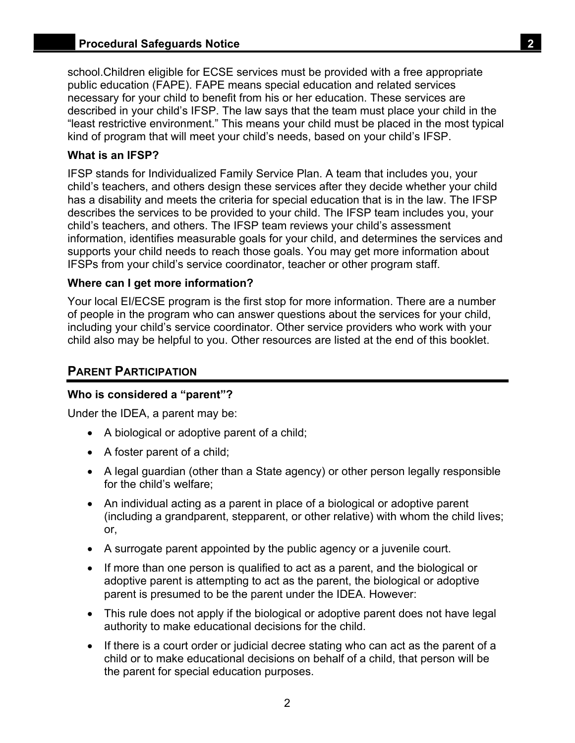<span id="page-4-0"></span>school.Children eligible for ECSE services must be provided with a free appropriate public education (FAPE). FAPE means special education and related services necessary for your child to benefit from his or her education. These services are described in your child's IFSP. The law says that the team must place your child in the "least restrictive environment." This means your child must be placed in the most typical kind of program that will meet your child's needs, based on your child's IFSP.

### **What is an IFSP?**

IFSP stands for Individualized Family Service Plan. A team that includes you, your child's teachers, and others design these services after they decide whether your child has a disability and meets the criteria for special education that is in the law. The IFSP describes the services to be provided to your child. The IFSP team includes you, your child's teachers, and others. The IFSP team reviews your child's assessment information, identifies measurable goals for your child, and determines the services and supports your child needs to reach those goals. You may get more information about IFSPs from your child's service coordinator, teacher or other program staff.

#### **Where can I get more information?**

Your local EI/ECSE program is the first stop for more information. There are a number of people in the program who can answer questions about the services for your child, including your child's service coordinator. Other service providers who work with your child also may be helpful to you. Other resources are listed at the end of this booklet.

## **PARENT PARTICIPATION**

## **Who is considered a "parent"?**

Under the IDEA, a parent may be:

- A biological or adoptive parent of a child;
- A foster parent of a child;
- A legal guardian (other than a State agency) or other person legally responsible for the child's welfare;
- An individual acting as a parent in place of a biological or adoptive parent (including a grandparent, stepparent, or other relative) with whom the child lives; or,
- A surrogate parent appointed by the public agency or a juvenile court.
- If more than one person is qualified to act as a parent, and the biological or adoptive parent is attempting to act as the parent, the biological or adoptive parent is presumed to be the parent under the IDEA. However:
- This rule does not apply if the biological or adoptive parent does not have legal authority to make educational decisions for the child.
- If there is a court order or judicial decree stating who can act as the parent of a child or to make educational decisions on behalf of a child, that person will be the parent for special education purposes.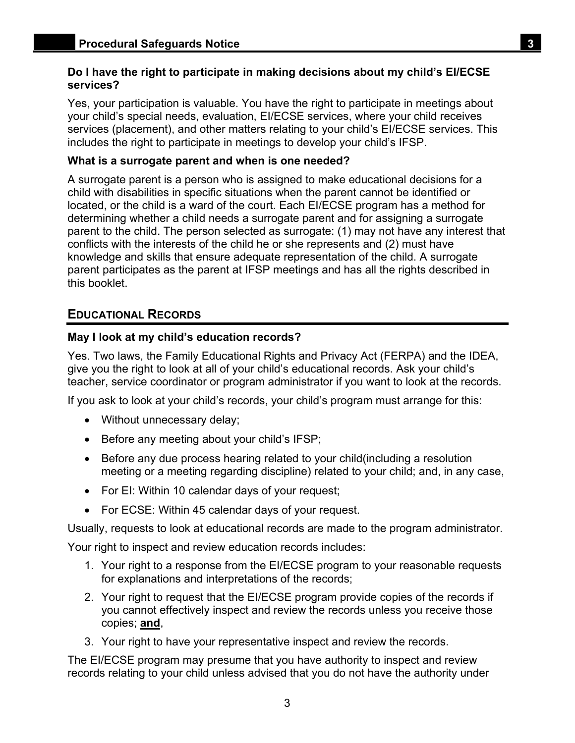#### <span id="page-5-0"></span>**Do I have the right to participate in making decisions about my child's EI/ECSE services?**

Yes, your participation is valuable. You have the right to participate in meetings about your child's special needs, evaluation, EI/ECSE services, where your child receives services (placement), and other matters relating to your child's EI/ECSE services. This includes the right to participate in meetings to develop your child's IFSP.

### **What is a surrogate parent and when is one needed?**

A surrogate parent is a person who is assigned to make educational decisions for a child with disabilities in specific situations when the parent cannot be identified or located, or the child is a ward of the court. Each EI/ECSE program has a method for determining whether a child needs a surrogate parent and for assigning a surrogate parent to the child. The person selected as surrogate: (1) may not have any interest that conflicts with the interests of the child he or she represents and (2) must have knowledge and skills that ensure adequate representation of the child. A surrogate parent participates as the parent at IFSP meetings and has all the rights described in this booklet.

## **EDUCATIONAL RECORDS**

## **May I look at my child's education records?**

Yes. Two laws, the Family Educational Rights and Privacy Act (FERPA) and the IDEA, give you the right to look at all of your child's educational records. Ask your child's teacher, service coordinator or program administrator if you want to look at the records.

If you ask to look at your child's records, your child's program must arrange for this:

- Without unnecessary delay;
- Before any meeting about your child's IFSP;
- Before any due process hearing related to your child(including a resolution meeting or a meeting regarding discipline) related to your child; and, in any case,
- For EI: Within 10 calendar days of your request;
- For ECSE: Within 45 calendar days of your request.

Usually, requests to look at educational records are made to the program administrator.

Your right to inspect and review education records includes:

- 1. Your right to a response from the EI/ECSE program to your reasonable requests for explanations and interpretations of the records;
- 2. Your right to request that the EI/ECSE program provide copies of the records if you cannot effectively inspect and review the records unless you receive those copies; **and**,
- 3. Your right to have your representative inspect and review the records.

The EI/ECSE program may presume that you have authority to inspect and review records relating to your child unless advised that you do not have the authority under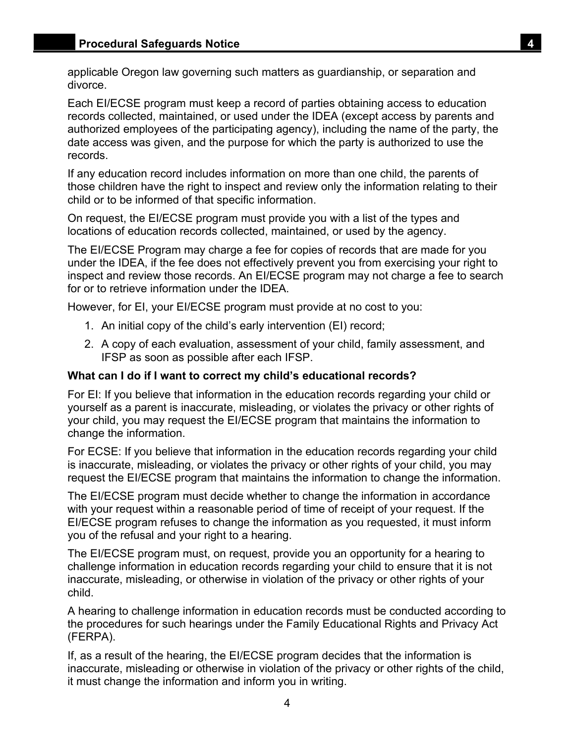applicable Oregon law governing such matters as guardianship, or separation and divorce.

Each EI/ECSE program must keep a record of parties obtaining access to education records collected, maintained, or used under the IDEA (except access by parents and authorized employees of the participating agency), including the name of the party, the date access was given, and the purpose for which the party is authorized to use the records.

If any education record includes information on more than one child, the parents of those children have the right to inspect and review only the information relating to their child or to be informed of that specific information.

On request, the EI/ECSE program must provide you with a list of the types and locations of education records collected, maintained, or used by the agency.

The EI/ECSE Program may charge a fee for copies of records that are made for you under the IDEA, if the fee does not effectively prevent you from exercising your right to inspect and review those records. An EI/ECSE program may not charge a fee to search for or to retrieve information under the IDEA.

However, for EI, your EI/ECSE program must provide at no cost to you:

- 1. An initial copy of the child's early intervention (EI) record;
- 2. A copy of each evaluation, assessment of your child, family assessment, and IFSP as soon as possible after each IFSP.

### **What can I do if I want to correct my child's educational records?**

For EI: If you believe that information in the education records regarding your child or yourself as a parent is inaccurate, misleading, or violates the privacy or other rights of your child, you may request the EI/ECSE program that maintains the information to change the information.

For ECSE: If you believe that information in the education records regarding your child is inaccurate, misleading, or violates the privacy or other rights of your child, you may request the EI/ECSE program that maintains the information to change the information.

The EI/ECSE program must decide whether to change the information in accordance with your request within a reasonable period of time of receipt of your request. If the EI/ECSE program refuses to change the information as you requested, it must inform you of the refusal and your right to a hearing.

The EI/ECSE program must, on request, provide you an opportunity for a hearing to challenge information in education records regarding your child to ensure that it is not inaccurate, misleading, or otherwise in violation of the privacy or other rights of your child.

A hearing to challenge information in education records must be conducted according to the procedures for such hearings under the Family Educational Rights and Privacy Act (FERPA).

If, as a result of the hearing, the EI/ECSE program decides that the information is inaccurate, misleading or otherwise in violation of the privacy or other rights of the child, it must change the information and inform you in writing.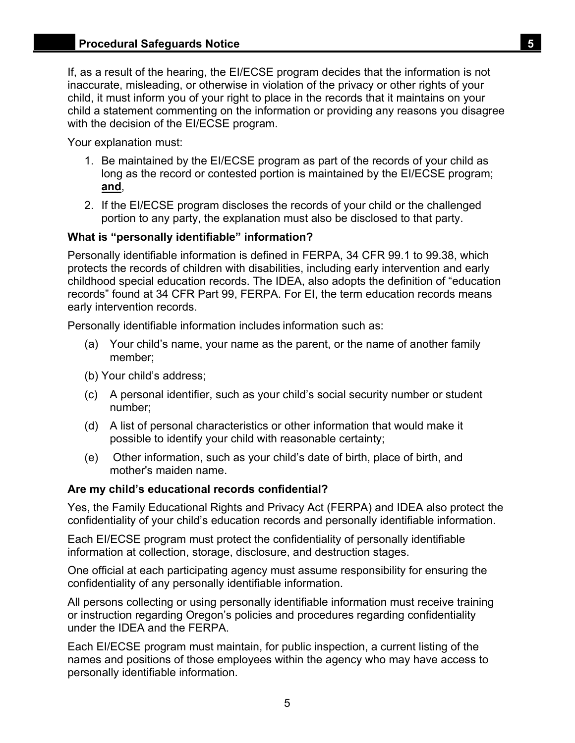If, as a result of the hearing, the EI/ECSE program decides that the information is not inaccurate, misleading, or otherwise in violation of the privacy or other rights of your child, it must inform you of your right to place in the records that it maintains on your child a statement commenting on the information or providing any reasons you disagree with the decision of the EI/ECSE program.

Your explanation must:

- 1. Be maintained by the EI/ECSE program as part of the records of your child as long as the record or contested portion is maintained by the EI/ECSE program; **and**,
- 2. If the EI/ECSE program discloses the records of your child or the challenged portion to any party, the explanation must also be disclosed to that party.

## **What is "personally identifiable" information?**

Personally identifiable information is defined in FERPA, 34 CFR 99.1 to 99.38, which protects the records of children with disabilities, including early intervention and early childhood special education records. The IDEA, also adopts the definition of "education records" found at 34 CFR Part 99, FERPA. For EI, the term education records means early intervention records.

Personally identifiable information includes information such as:

- (a) Your child's name, your name as the parent, or the name of another family member;
- (b) Your child's address;
- (c) A personal identifier, such as your child's social security number or student number;
- (d) A list of personal characteristics or other information that would make it possible to identify your child with reasonable certainty;
- (e) Other information, such as your child's date of birth, place of birth, and mother's maiden name.

## **Are my child's educational records confidential?**

Yes, the Family Educational Rights and Privacy Act (FERPA) and IDEA also protect the confidentiality of your child's education records and personally identifiable information.

Each EI/ECSE program must protect the confidentiality of personally identifiable information at collection, storage, disclosure, and destruction stages.

One official at each participating agency must assume responsibility for ensuring the confidentiality of any personally identifiable information.

All persons collecting or using personally identifiable information must receive training or instruction regarding Oregon's policies and procedures regarding confidentiality under the IDEA and the FERPA.

Each EI/ECSE program must maintain, for public inspection, a current listing of the names and positions of those employees within the agency who may have access to personally identifiable information.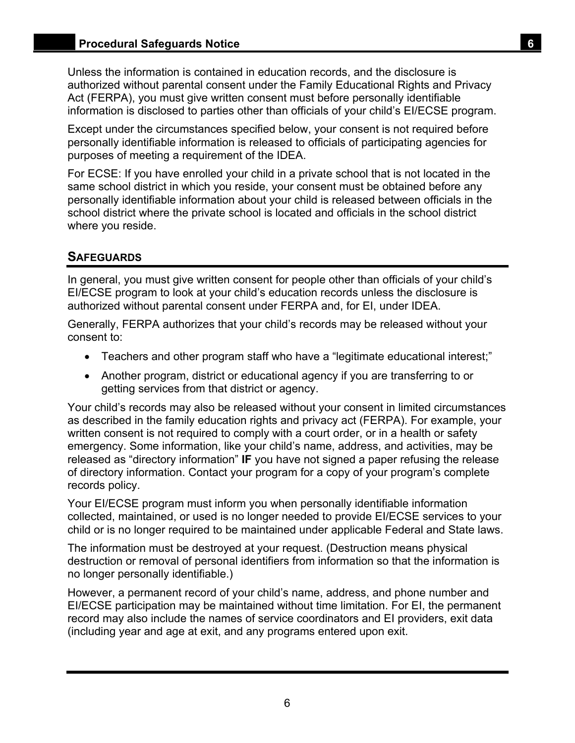<span id="page-8-0"></span>Unless the information is contained in education records, and the disclosure is authorized without parental consent under the Family Educational Rights and Privacy Act (FERPA), you must give written consent must before personally identifiable information is disclosed to parties other than officials of your child's EI/ECSE program.

Except under the circumstances specified below, your consent is not required before personally identifiable information is released to officials of participating agencies for purposes of meeting a requirement of the IDEA.

For ECSE: If you have enrolled your child in a private school that is not located in the same school district in which you reside, your consent must be obtained before any personally identifiable information about your child is released between officials in the school district where the private school is located and officials in the school district where you reside.

## **SAFEGUARDS**

In general, you must give written consent for people other than officials of your child's EI/ECSE program to look at your child's education records unless the disclosure is authorized without parental consent under FERPA and, for EI, under IDEA.

Generally, FERPA authorizes that your child's records may be released without your consent to:

- Teachers and other program staff who have a "legitimate educational interest;"
- Another program, district or educational agency if you are transferring to or getting services from that district or agency.

Your child's records may also be released without your consent in limited circumstances as described in the family education rights and privacy act (FERPA). For example, your written consent is not required to comply with a court order, or in a health or safety emergency. Some information, like your child's name, address, and activities, may be released as "directory information" **IF** you have not signed a paper refusing the release of directory information. Contact your program for a copy of your program's complete records policy.

Your EI/ECSE program must inform you when personally identifiable information collected, maintained, or used is no longer needed to provide EI/ECSE services to your child or is no longer required to be maintained under applicable Federal and State laws.

The information must be destroyed at your request. (Destruction means physical destruction or removal of personal identifiers from information so that the information is no longer personally identifiable.)

However, a permanent record of your child's name, address, and phone number and EI/ECSE participation may be maintained without time limitation. For EI, the permanent record may also include the names of service coordinators and EI providers, exit data (including year and age at exit, and any programs entered upon exit.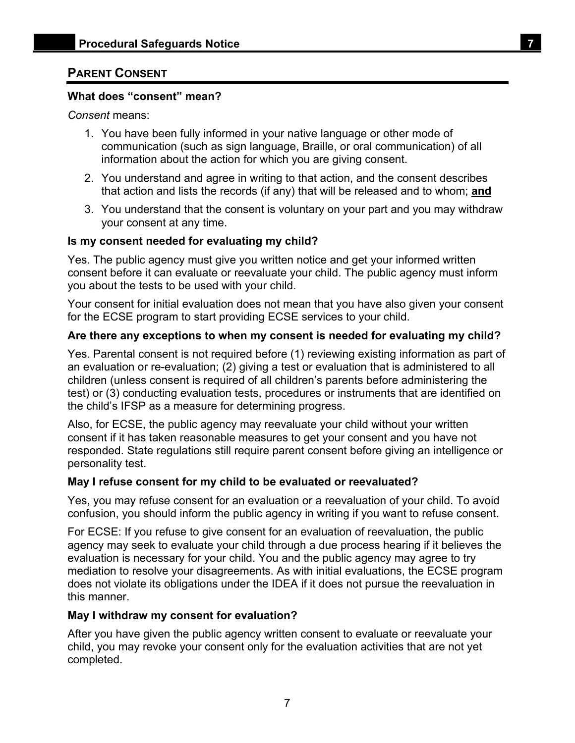## <span id="page-9-0"></span>**PARENT CONSENT**

## **What does "consent" mean?**

*Consent* means:

- 1. You have been fully informed in your native language or other mode of communication (such as sign language, Braille, or oral communication) of all information about the action for which you are giving consent.
- 2. You understand and agree in writing to that action, and the consent describes that action and lists the records (if any) that will be released and to whom; **and**
- 3. You understand that the consent is voluntary on your part and you may withdraw your consent at any time.

## **Is my consent needed for evaluating my child?**

Yes. The public agency must give you written notice and get your informed written consent before it can evaluate or reevaluate your child. The public agency must inform you about the tests to be used with your child.

Your consent for initial evaluation does not mean that you have also given your consent for the ECSE program to start providing ECSE services to your child.

## **Are there any exceptions to when my consent is needed for evaluating my child?**

Yes. Parental consent is not required before (1) reviewing existing information as part of an evaluation or re-evaluation; (2) giving a test or evaluation that is administered to all children (unless consent is required of all children's parents before administering the test) or (3) conducting evaluation tests, procedures or instruments that are identified on the child's IFSP as a measure for determining progress.

Also, for ECSE, the public agency may reevaluate your child without your written consent if it has taken reasonable measures to get your consent and you have not responded. State regulations still require parent consent before giving an intelligence or personality test.

## **May I refuse consent for my child to be evaluated or reevaluated?**

Yes, you may refuse consent for an evaluation or a reevaluation of your child. To avoid confusion, you should inform the public agency in writing if you want to refuse consent.

For ECSE: If you refuse to give consent for an evaluation of reevaluation, the public agency may seek to evaluate your child through a due process hearing if it believes the evaluation is necessary for your child. You and the public agency may agree to try mediation to resolve your disagreements. As with initial evaluations, the ECSE program does not violate its obligations under the IDEA if it does not pursue the reevaluation in this manner.

## **May I withdraw my consent for evaluation?**

After you have given the public agency written consent to evaluate or reevaluate your child, you may revoke your consent only for the evaluation activities that are not yet completed.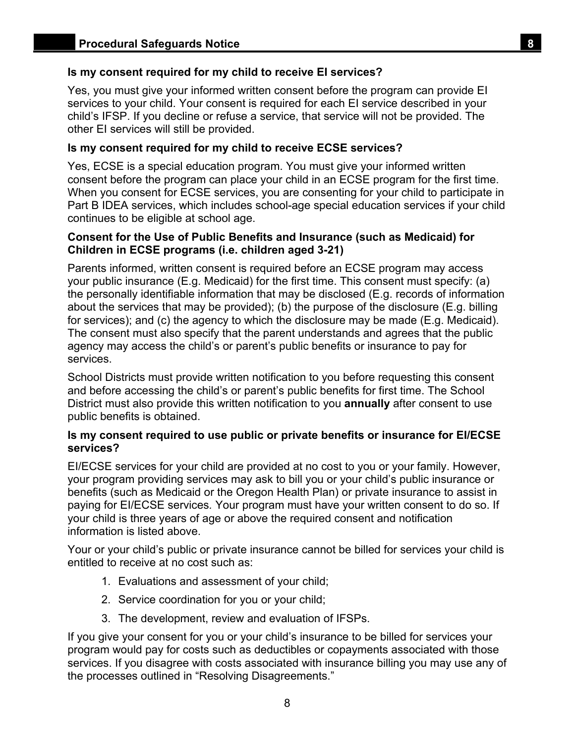## **Is my consent required for my child to receive EI services?**

Yes, you must give your informed written consent before the program can provide EI services to your child. Your consent is required for each EI service described in your child's IFSP. If you decline or refuse a service, that service will not be provided. The other EI services will still be provided.

### **Is my consent required for my child to receive ECSE services?**

Yes, ECSE is a special education program. You must give your informed written consent before the program can place your child in an ECSE program for the first time. When you consent for ECSE services, you are consenting for your child to participate in Part B IDEA services, which includes school-age special education services if your child continues to be eligible at school age.

## **Consent for the Use of Public Benefits and Insurance (such as Medicaid) for Children in ECSE programs (i.e. children aged 3-21)**

Parents informed, written consent is required before an ECSE program may access your public insurance (E.g. Medicaid) for the first time. This consent must specify: (a) the personally identifiable information that may be disclosed (E.g. records of information about the services that may be provided); (b) the purpose of the disclosure (E.g. billing for services); and (c) the agency to which the disclosure may be made (E.g. Medicaid). The consent must also specify that the parent understands and agrees that the public agency may access the child's or parent's public benefits or insurance to pay for services.

School Districts must provide written notification to you before requesting this consent and before accessing the child's or parent's public benefits for first time. The School District must also provide this written notification to you **annually** after consent to use public benefits is obtained.

#### **Is my consent required to use public or private benefits or insurance for EI/ECSE services?**

EI/ECSE services for your child are provided at no cost to you or your family. However, your program providing services may ask to bill you or your child's public insurance or benefits (such as Medicaid or the Oregon Health Plan) or private insurance to assist in paying for EI/ECSE services*.* Your program must have your written consent to do so. If your child is three years of age or above the required consent and notification information is listed above.

Your or your child's public or private insurance cannot be billed for services your child is entitled to receive at no cost such as:

- 1. Evaluations and assessment of your child;
- 2. Service coordination for you or your child;
- 3. The development, review and evaluation of IFSPs.

If you give your consent for you or your child's insurance to be billed for services your program would pay for costs such as deductibles or copayments associated with those services. If you disagree with costs associated with insurance billing you may use any of the processes outlined in "Resolving Disagreements."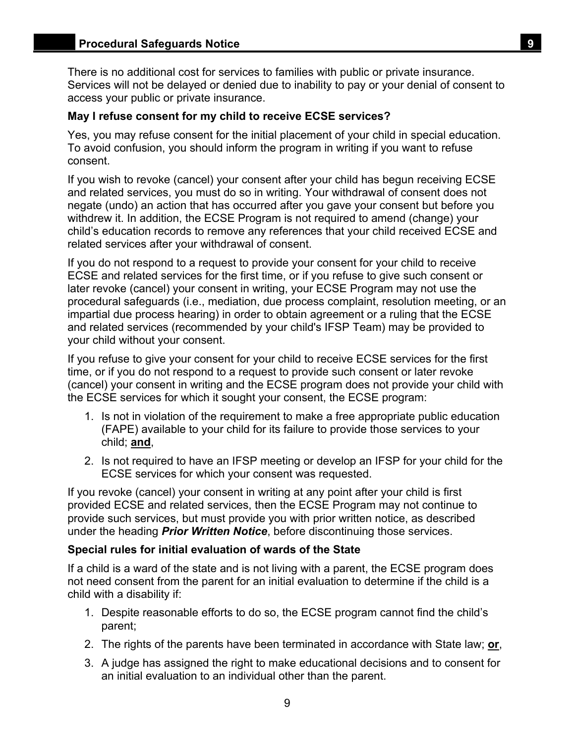There is no additional cost for services to families with public or private insurance. Services will not be delayed or denied due to inability to pay or your denial of consent to access your public or private insurance.

#### **May I refuse consent for my child to receive ECSE services?**

Yes, you may refuse consent for the initial placement of your child in special education. To avoid confusion, you should inform the program in writing if you want to refuse consent.

If you wish to revoke (cancel) your consent after your child has begun receiving ECSE and related services, you must do so in writing. Your withdrawal of consent does not negate (undo) an action that has occurred after you gave your consent but before you withdrew it. In addition, the ECSE Program is not required to amend (change) your child's education records to remove any references that your child received ECSE and related services after your withdrawal of consent.

If you do not respond to a request to provide your consent for your child to receive ECSE and related services for the first time, or if you refuse to give such consent or later revoke (cancel) your consent in writing, your ECSE Program may not use the procedural safeguards (i.e., mediation, due process complaint, resolution meeting, or an impartial due process hearing) in order to obtain agreement or a ruling that the ECSE and related services (recommended by your child's IFSP Team) may be provided to your child without your consent.

If you refuse to give your consent for your child to receive ECSE services for the first time, or if you do not respond to a request to provide such consent or later revoke (cancel) your consent in writing and the ECSE program does not provide your child with the ECSE services for which it sought your consent, the ECSE program:

- 1. Is not in violation of the requirement to make a free appropriate public education (FAPE) available to your child for its failure to provide those services to your child; **and**,
- 2. Is not required to have an IFSP meeting or develop an IFSP for your child for the ECSE services for which your consent was requested.

If you revoke (cancel) your consent in writing at any point after your child is first provided ECSE and related services, then the ECSE Program may not continue to provide such services, but must provide you with prior written notice, as described under the heading *Prior Written Notice*, before discontinuing those services.

#### **Special rules for initial evaluation of wards of the State**

If a child is a ward of the state and is not living with a parent, the ECSE program does not need consent from the parent for an initial evaluation to determine if the child is a child with a disability if:

- 1. Despite reasonable efforts to do so, the ECSE program cannot find the child's parent;
- 2. The rights of the parents have been terminated in accordance with State law; **or**,
- 3. A judge has assigned the right to make educational decisions and to consent for an initial evaluation to an individual other than the parent.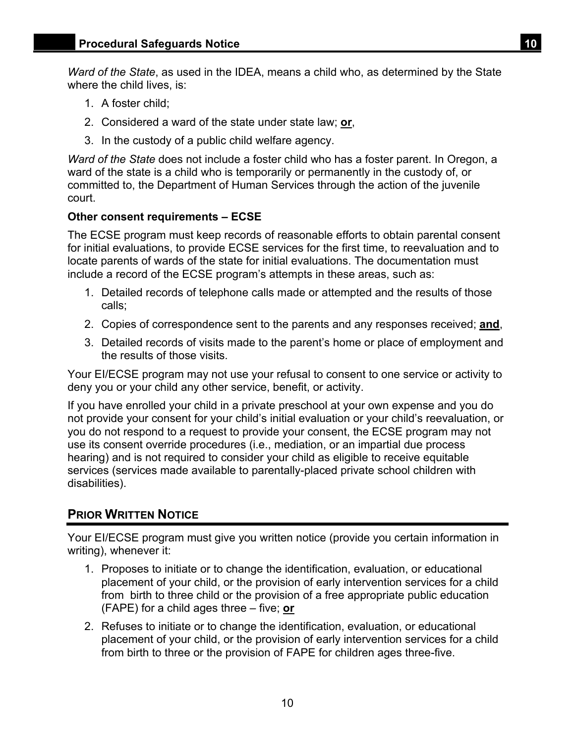<span id="page-12-0"></span>*Ward of the State*, as used in the IDEA, means a child who, as determined by the State where the child lives, is:

- 1. A foster child;
- 2. Considered a ward of the state under state law; **or**,
- 3. In the custody of a public child welfare agency.

*Ward of the State* does not include a foster child who has a foster parent. In Oregon, a ward of the state is a child who is temporarily or permanently in the custody of, or committed to, the Department of Human Services through the action of the juvenile court.

## **Other consent requirements – ECSE**

The ECSE program must keep records of reasonable efforts to obtain parental consent for initial evaluations, to provide ECSE services for the first time, to reevaluation and to locate parents of wards of the state for initial evaluations. The documentation must include a record of the ECSE program's attempts in these areas, such as:

- 1. Detailed records of telephone calls made or attempted and the results of those calls;
- 2. Copies of correspondence sent to the parents and any responses received; **and**,
- 3. Detailed records of visits made to the parent's home or place of employment and the results of those visits.

Your EI/ECSE program may not use your refusal to consent to one service or activity to deny you or your child any other service, benefit, or activity.

If you have enrolled your child in a private preschool at your own expense and you do not provide your consent for your child's initial evaluation or your child's reevaluation, or you do not respond to a request to provide your consent, the ECSE program may not use its consent override procedures (i.e., mediation, or an impartial due process hearing) and is not required to consider your child as eligible to receive equitable services (services made available to parentally-placed private school children with disabilities).

## **PRIOR WRITTEN NOTICE**

Your EI/ECSE program must give you written notice (provide you certain information in writing), whenever it:

- (FAPE) for a child ages three five; **or** 1. Proposes to initiate or to change the identification, evaluation, or educational placement of your child, or the provision of early intervention services for a child from birth to three child or the provision of a free appropriate public education
- 2. Refuses to initiate or to change the identification, evaluation, or educational placement of your child, or the provision of early intervention services for a child from birth to three or the provision of FAPE for children ages three-five.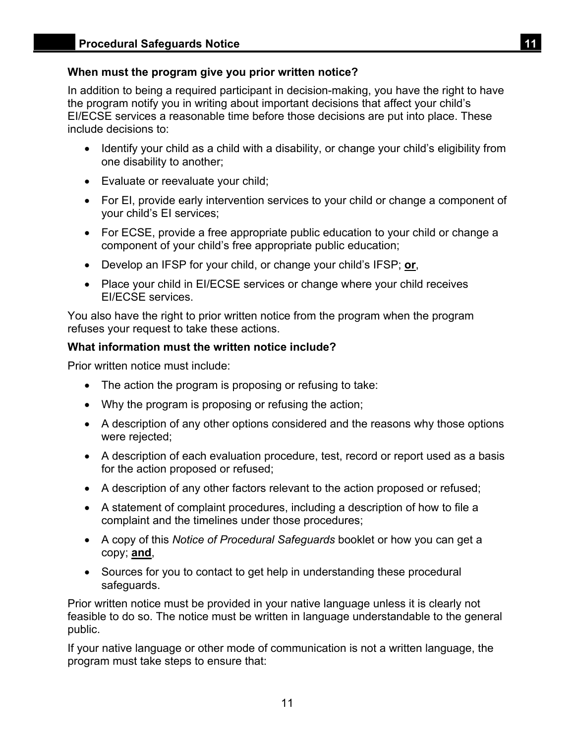## **When must the program give you prior written notice?**

In addition to being a required participant in decision-making, you have the right to have the program notify you in writing about important decisions that affect your child's EI/ECSE services a reasonable time before those decisions are put into place. These include decisions to:

- Identify your child as a child with a disability, or change your child's eligibility from one disability to another;
- Evaluate or reevaluate your child;
- For EI, provide early intervention services to your child or change a component of your child's EI services;
- For ECSE, provide a free appropriate public education to your child or change a component of your child's free appropriate public education;
- Develop an IFSP for your child, or change your child's IFSP; **or**,
- Place your child in EI/ECSE services or change where your child receives EI/ECSE services.

You also have the right to prior written notice from the program when the program refuses your request to take these actions.

## **What information must the written notice include?**

Prior written notice must include:

- The action the program is proposing or refusing to take:
- Why the program is proposing or refusing the action;
- A description of any other options considered and the reasons why those options were rejected;
- A description of each evaluation procedure, test, record or report used as a basis for the action proposed or refused;
- A description of any other factors relevant to the action proposed or refused;
- A statement of complaint procedures, including a description of how to file a complaint and the timelines under those procedures;
- A copy of this *Notice of Procedural Safeguards* booklet or how you can get a copy; **and**,
- Sources for you to contact to get help in understanding these procedural safeguards.

Prior written notice must be provided in your native language unless it is clearly not feasible to do so. The notice must be written in language understandable to the general public.

If your native language or other mode of communication is not a written language, the program must take steps to ensure that: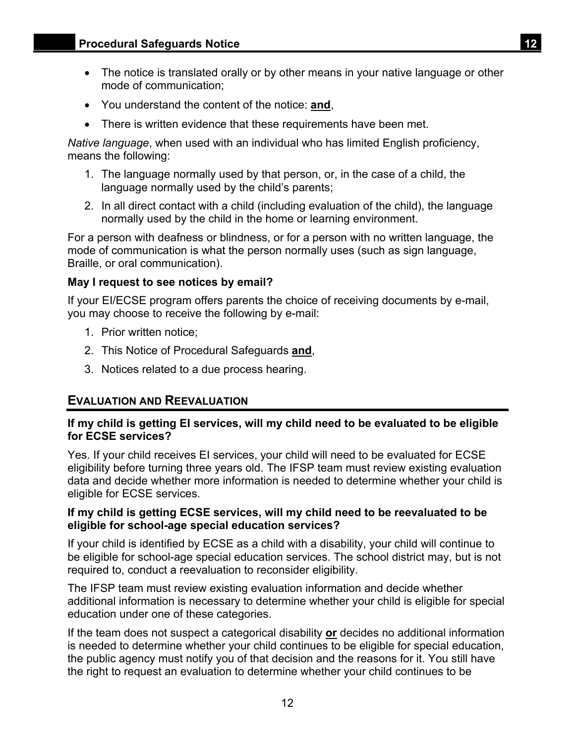- <span id="page-14-0"></span>• The notice is translated orally or by other means in your native language or other mode of communication;
- You understand the content of the notice: **and**,
- There is written evidence that these requirements have been met.

*Native language*, when used with an individual who has limited English proficiency, means the following:

- 1. The language normally used by that person, or, in the case of a child, the language normally used by the child's parents;
- 2. In all direct contact with a child (including evaluation of the child), the language normally used by the child in the home or learning environment.

For a person with deafness or blindness, or for a person with no written language, the mode of communication is what the person normally uses (such as sign language, Braille, or oral communication).

#### **May I request to see notices by email?**

If your EI/ECSE program offers parents the choice of receiving documents by e-mail, you may choose to receive the following by e-mail:

- 1. Prior written notice;
- 2. This Notice of Procedural Safeguards **and**,
- 3. Notices related to a due process hearing.

## **EVALUATION AND REEVALUATION**

## **If my child is getting EI services, will my child need to be evaluated to be eligible for ECSE services?**

Yes. If your child receives EI services, your child will need to be evaluated for ECSE eligibility before turning three years old. The IFSP team must review existing evaluation data and decide whether more information is needed to determine whether your child is eligible for ECSE services.

#### **If my child is getting ECSE services, will my child need to be reevaluated to be eligible for school-age special education services?**

If your child is identified by ECSE as a child with a disability, your child will continue to be eligible for school-age special education services. The school district may, but is not required to, conduct a reevaluation to reconsider eligibility.

The IFSP team must review existing evaluation information and decide whether additional information is necessary to determine whether your child is eligible for special education under one of these categories.

If the team does not suspect a categorical disability **or** decides no additional information is needed to determine whether your child continues to be eligible for special education, the public agency must notify you of that decision and the reasons for it. You still have the right to request an evaluation to determine whether your child continues to be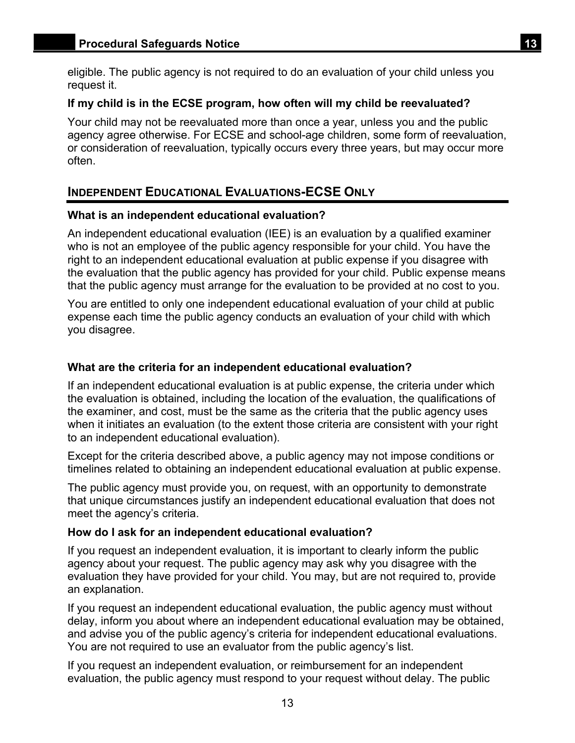<span id="page-15-0"></span>eligible. The public agency is not required to do an evaluation of your child unless you request it.

#### **If my child is in the ECSE program, how often will my child be reevaluated?**

Your child may not be reevaluated more than once a year, unless you and the public agency agree otherwise. For ECSE and school-age children, some form of reevaluation, or consideration of reevaluation, typically occurs every three years, but may occur more often.

## **INDEPENDENT EDUCATIONAL EVALUATIONS-ECSE ONLY**

#### **What is an independent educational evaluation?**

An independent educational evaluation (IEE) is an evaluation by a qualified examiner who is not an employee of the public agency responsible for your child. You have the right to an independent educational evaluation at public expense if you disagree with the evaluation that the public agency has provided for your child. Public expense means that the public agency must arrange for the evaluation to be provided at no cost to you.

You are entitled to only one independent educational evaluation of your child at public expense each time the public agency conducts an evaluation of your child with which you disagree.

### **What are the criteria for an independent educational evaluation?**

If an independent educational evaluation is at public expense, the criteria under which the evaluation is obtained, including the location of the evaluation, the qualifications of the examiner, and cost, must be the same as the criteria that the public agency uses when it initiates an evaluation (to the extent those criteria are consistent with your right to an independent educational evaluation).

Except for the criteria described above, a public agency may not impose conditions or timelines related to obtaining an independent educational evaluation at public expense.

The public agency must provide you, on request, with an opportunity to demonstrate that unique circumstances justify an independent educational evaluation that does not meet the agency's criteria.

#### **How do I ask for an independent educational evaluation?**

If you request an independent evaluation, it is important to clearly inform the public agency about your request. The public agency may ask why you disagree with the evaluation they have provided for your child. You may, but are not required to, provide an explanation.

If you request an independent educational evaluation, the public agency must without delay, inform you about where an independent educational evaluation may be obtained, and advise you of the public agency's criteria for independent educational evaluations. You are not required to use an evaluator from the public agency's list.

If you request an independent evaluation, or reimbursement for an independent evaluation, the public agency must respond to your request without delay. The public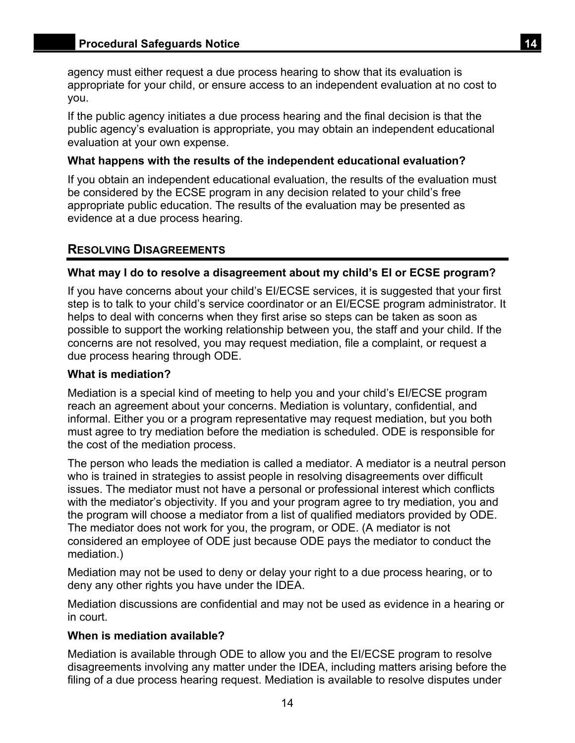<span id="page-16-0"></span>agency must either request a due process hearing to show that its evaluation is appropriate for your child, or ensure access to an independent evaluation at no cost to you.

If the public agency initiates a due process hearing and the final decision is that the public agency's evaluation is appropriate, you may obtain an independent educational evaluation at your own expense.

## **What happens with the results of the independent educational evaluation?**

If you obtain an independent educational evaluation, the results of the evaluation must be considered by the ECSE program in any decision related to your child's free appropriate public education. The results of the evaluation may be presented as evidence at a due process hearing.

## **RESOLVING DISAGREEMENTS**

## **What may I do to resolve a disagreement about my child's EI or ECSE program?**

If you have concerns about your child's EI/ECSE services, it is suggested that your first step is to talk to your child's service coordinator or an EI/ECSE program administrator. It helps to deal with concerns when they first arise so steps can be taken as soon as possible to support the working relationship between you, the staff and your child. If the concerns are not resolved, you may request mediation, file a complaint, or request a due process hearing through ODE.

## **What is mediation?**

Mediation is a special kind of meeting to help you and your child's EI/ECSE program reach an agreement about your concerns. Mediation is voluntary, confidential, and informal. Either you or a program representative may request mediation, but you both must agree to try mediation before the mediation is scheduled. ODE is responsible for the cost of the mediation process.

The person who leads the mediation is called a mediator. A mediator is a neutral person who is trained in strategies to assist people in resolving disagreements over difficult issues. The mediator must not have a personal or professional interest which conflicts with the mediator's objectivity. If you and your program agree to try mediation, you and the program will choose a mediator from a list of qualified mediators provided by ODE. The mediator does not work for you, the program, or ODE. (A mediator is not considered an employee of ODE just because ODE pays the mediator to conduct the mediation.)

Mediation may not be used to deny or delay your right to a due process hearing, or to deny any other rights you have under the IDEA.

Mediation discussions are confidential and may not be used as evidence in a hearing or in court.

## **When is mediation available?**

Mediation is available through ODE to allow you and the EI/ECSE program to resolve disagreements involving any matter under the IDEA, including matters arising before the filing of a due process hearing request. Mediation is available to resolve disputes under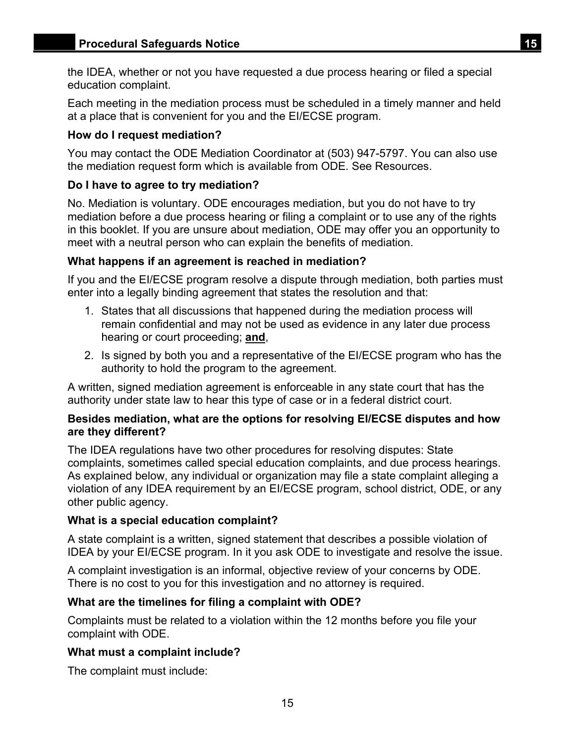the IDEA, whether or not you have requested a due process hearing or filed a special education complaint.

Each meeting in the mediation process must be scheduled in a timely manner and held at a place that is convenient for you and the EI/ECSE program.

## **How do I request mediation?**

You may contact the ODE Mediation Coordinator at (503) 947-5797. You can also use the mediation request form which is available from ODE. See Resources.

## **Do I have to agree to try mediation?**

No. Mediation is voluntary. ODE encourages mediation, but you do not have to try mediation before a due process hearing or filing a complaint or to use any of the rights in this booklet. If you are unsure about mediation, ODE may offer you an opportunity to meet with a neutral person who can explain the benefits of mediation.

## **What happens if an agreement is reached in mediation?**

If you and the EI/ECSE program resolve a dispute through mediation, both parties must enter into a legally binding agreement that states the resolution and that:

- 1. States that all discussions that happened during the mediation process will remain confidential and may not be used as evidence in any later due process hearing or court proceeding; **and**,
- 2. Is signed by both you and a representative of the EI/ECSE program who has the authority to hold the program to the agreement.

A written, signed mediation agreement is enforceable in any state court that has the authority under state law to hear this type of case or in a federal district court.

#### **Besides mediation, what are the options for resolving EI/ECSE disputes and how are they different?**

The IDEA regulations have two other procedures for resolving disputes: State complaints, sometimes called special education complaints, and due process hearings. As explained below, any individual or organization may file a state complaint alleging a violation of any IDEA requirement by an EI/ECSE program, school district, ODE, or any other public agency.

## **What is a special education complaint?**

A state complaint is a written, signed statement that describes a possible violation of IDEA by your EI/ECSE program. In it you ask ODE to investigate and resolve the issue.

A complaint investigation is an informal, objective review of your concerns by ODE. There is no cost to you for this investigation and no attorney is required.

## **What are the timelines for filing a complaint with ODE?**

Complaints must be related to a violation within the 12 months before you file your complaint with ODE.

## **What must a complaint include?**

The complaint must include: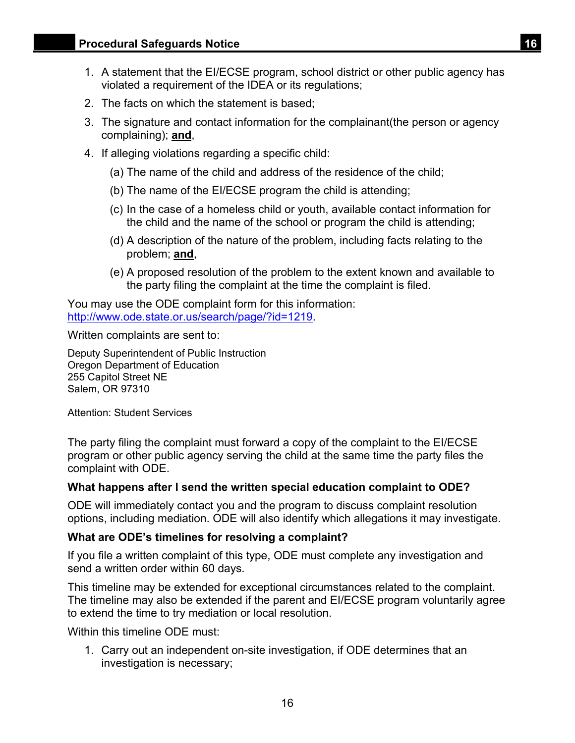- 1. A statement that the EI/ECSE program, school district or other public agency has violated a requirement of the IDEA or its regulations;
- 2. The facts on which the statement is based;
- 3. The signature and contact information for the complainant(the person or agency complaining); **and**,
- 4. If alleging violations regarding a specific child:
	- (a) The name of the child and address of the residence of the child;
	- (b) The name of the EI/ECSE program the child is attending;
	- (c) In the case of a homeless child or youth, available contact information for the child and the name of the school or program the child is attending;
	- (d) A description of the nature of the problem, including facts relating to the problem; **and**,
	- (e) A proposed resolution of the problem to the extent known and available to the party filing the complaint at the time the complaint is filed.

You may use the ODE complaint form for this information: http://www.ode.state.or.us/search/page/?id=1219.

Written complaints are sent to:

Deputy Superintendent of Public Instruction Oregon Department of Education 255 Capitol Street NE Salem, OR 97310

Attention: Student Services

The party filing the complaint must forward a copy of the complaint to the EI/ECSE program or other public agency serving the child at the same time the party files the complaint with ODE.

#### **What happens after I send the written special education complaint to ODE?**

ODE will immediately contact you and the program to discuss complaint resolution options, including mediation. ODE will also identify which allegations it may investigate.

#### **What are ODE's timelines for resolving a complaint?**

If you file a written complaint of this type, ODE must complete any investigation and send a written order within 60 days.

This timeline may be extended for exceptional circumstances related to the complaint. The timeline may also be extended if the parent and EI/ECSE program voluntarily agree to extend the time to try mediation or local resolution.

Within this timeline ODF must:

1. Carry out an independent on-site investigation, if ODE determines that an investigation is necessary;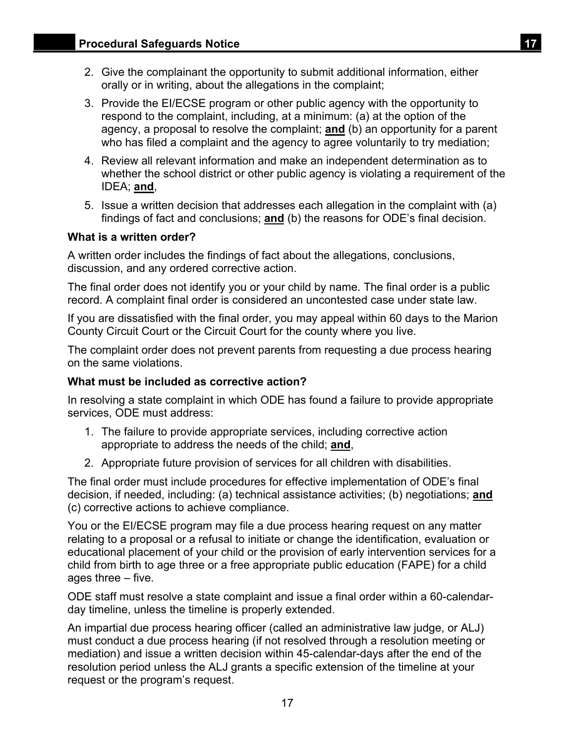- 2. Give the complainant the opportunity to submit additional information, either orally or in writing, about the allegations in the complaint;
- 3. Provide the EI/ECSE program or other public agency with the opportunity to respond to the complaint, including, at a minimum: (a) at the option of the agency, a proposal to resolve the complaint; **and** (b) an opportunity for a parent who has filed a complaint and the agency to agree voluntarily to try mediation;
- 4. Review all relevant information and make an independent determination as to whether the school district or other public agency is violating a requirement of the IDEA; **and**,
- 5. Issue a written decision that addresses each allegation in the complaint with (a) findings of fact and conclusions; **and** (b) the reasons for ODE's final decision.

## **What is a written order?**

A written order includes the findings of fact about the allegations, conclusions, discussion, and any ordered corrective action.

The final order does not identify you or your child by name. The final order is a public record. A complaint final order is considered an uncontested case under state law.

If you are dissatisfied with the final order, you may appeal within 60 days to the Marion County Circuit Court or the Circuit Court for the county where you live.

The complaint order does not prevent parents from requesting a due process hearing on the same violations.

## **What must be included as corrective action?**

In resolving a state complaint in which ODE has found a failure to provide appropriate services, ODE must address:

- 1. The failure to provide appropriate services, including corrective action appropriate to address the needs of the child; **and**,
- 2. Appropriate future provision of services for all children with disabilities.

The final order must include procedures for effective implementation of ODE's final decision, if needed, including: (a) technical assistance activities; (b) negotiations; **and**  (c) corrective actions to achieve compliance.

You or the EI/ECSE program may file a due process hearing request on any matter relating to a proposal or a refusal to initiate or change the identification, evaluation or educational placement of your child or the provision of early intervention services for a child from birth to age three or a free appropriate public education (FAPE) for a child ages three – five.

ODE staff must resolve a state complaint and issue a final order within a 60-calendarday timeline, unless the timeline is properly extended.

An impartial due process hearing officer (called an administrative law judge, or ALJ) must conduct a due process hearing (if not resolved through a resolution meeting or mediation) and issue a written decision within 45-calendar-days after the end of the resolution period unless the ALJ grants a specific extension of the timeline at your request or the program's request.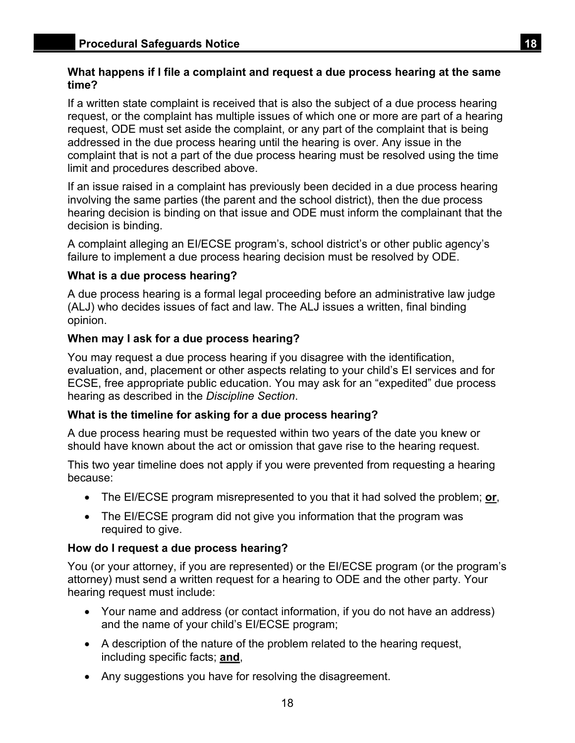## **What happens if I file a complaint and request a due process hearing at the same time?**

If a written state complaint is received that is also the subject of a due process hearing request, or the complaint has multiple issues of which one or more are part of a hearing request, ODE must set aside the complaint, or any part of the complaint that is being addressed in the due process hearing until the hearing is over. Any issue in the complaint that is not a part of the due process hearing must be resolved using the time limit and procedures described above.

If an issue raised in a complaint has previously been decided in a due process hearing involving the same parties (the parent and the school district), then the due process hearing decision is binding on that issue and ODE must inform the complainant that the decision is binding.

A complaint alleging an EI/ECSE program's, school district's or other public agency's failure to implement a due process hearing decision must be resolved by ODE.

#### **What is a due process hearing?**

A due process hearing is a formal legal proceeding before an administrative law judge (ALJ) who decides issues of fact and law. The ALJ issues a written, final binding opinion.

#### **When may I ask for a due process hearing?**

You may request a due process hearing if you disagree with the identification, evaluation, and, placement or other aspects relating to your child's EI services and for ECSE, free appropriate public education. You may ask for an "expedited" due process hearing as described in the *Discipline Section*.

## **What is the timeline for asking for a due process hearing?**

A due process hearing must be requested within two years of the date you knew or should have known about the act or omission that gave rise to the hearing request.

This two year timeline does not apply if you were prevented from requesting a hearing because:

- The EI/ECSE program misrepresented to you that it had solved the problem; **or**,
- The EI/ECSE program did not give you information that the program was required to give.

#### **How do I request a due process hearing?**

You (or your attorney, if you are represented) or the EI/ECSE program (or the program's attorney) must send a written request for a hearing to ODE and the other party. Your hearing request must include:

- Your name and address (or contact information, if you do not have an address) and the name of your child's EI/ECSE program;
- A description of the nature of the problem related to the hearing request, including specific facts; **and**,
- Any suggestions you have for resolving the disagreement.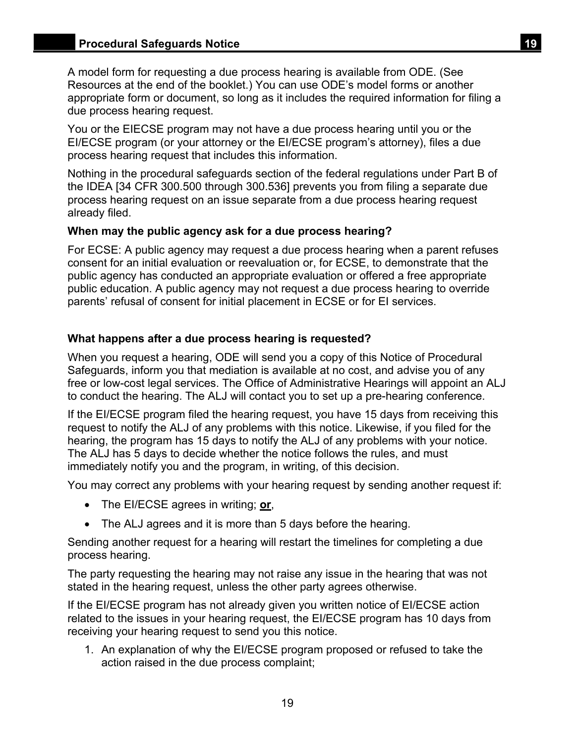A model form for requesting a due process hearing is available from ODE. (See Resources at the end of the booklet.) You can use ODE's model forms or another appropriate form or document, so long as it includes the required information for filing a due process hearing request.

You or the EIECSE program may not have a due process hearing until you or the EI/ECSE program (or your attorney or the EI/ECSE program's attorney), files a due process hearing request that includes this information.

Nothing in the procedural safeguards section of the federal regulations under Part B of the IDEA [34 CFR 300.500 through 300.536] prevents you from filing a separate due process hearing request on an issue separate from a due process hearing request already filed.

## **When may the public agency ask for a due process hearing?**

For ECSE: A public agency may request a due process hearing when a parent refuses consent for an initial evaluation or reevaluation or, for ECSE, to demonstrate that the public agency has conducted an appropriate evaluation or offered a free appropriate public education. A public agency may not request a due process hearing to override parents' refusal of consent for initial placement in ECSE or for EI services.

## **What happens after a due process hearing is requested?**

When you request a hearing, ODE will send you a copy of this Notice of Procedural Safeguards, inform you that mediation is available at no cost, and advise you of any free or low-cost legal services. The Office of Administrative Hearings will appoint an ALJ to conduct the hearing. The ALJ will contact you to set up a pre-hearing conference.

If the EI/ECSE program filed the hearing request, you have 15 days from receiving this request to notify the ALJ of any problems with this notice. Likewise, if you filed for the hearing, the program has 15 days to notify the ALJ of any problems with your notice. The ALJ has 5 days to decide whether the notice follows the rules, and must immediately notify you and the program, in writing, of this decision.

You may correct any problems with your hearing request by sending another request if:

- The EI/ECSE agrees in writing; **or**,
- The ALJ agrees and it is more than 5 days before the hearing.

Sending another request for a hearing will restart the timelines for completing a due process hearing.

The party requesting the hearing may not raise any issue in the hearing that was not stated in the hearing request, unless the other party agrees otherwise.

If the EI/ECSE program has not already given you written notice of EI/ECSE action related to the issues in your hearing request, the EI/ECSE program has 10 days from receiving your hearing request to send you this notice.

1. An explanation of why the EI/ECSE program proposed or refused to take the action raised in the due process complaint;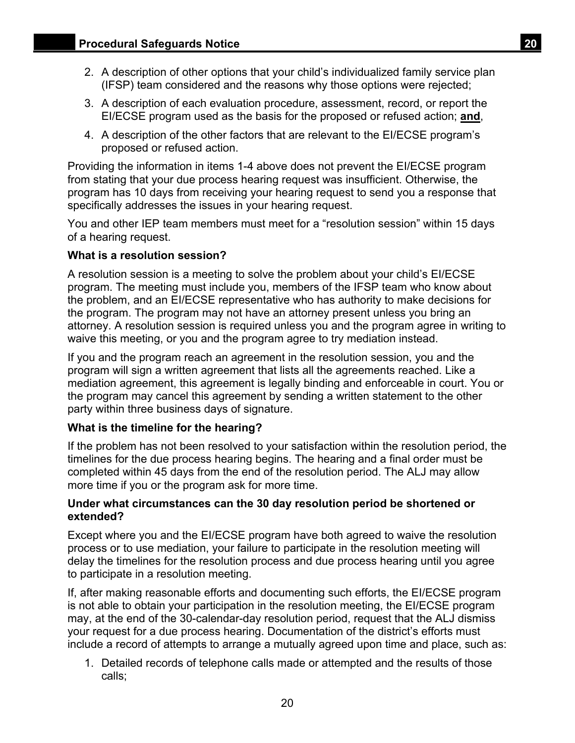- 2. A description of other options that your child's individualized family service plan (IFSP) team considered and the reasons why those options were rejected;
- 3. A description of each evaluation procedure, assessment, record, or report the EI/ECSE program used as the basis for the proposed or refused action; **and**,
- 4. A description of the other factors that are relevant to the EI/ECSE program's proposed or refused action.

Providing the information in items 1-4 above does not prevent the EI/ECSE program from stating that your due process hearing request was insufficient. Otherwise, the program has 10 days from receiving your hearing request to send you a response that specifically addresses the issues in your hearing request.

You and other IEP team members must meet for a "resolution session" within 15 days of a hearing request.

#### **What is a resolution session?**

A resolution session is a meeting to solve the problem about your child's EI/ECSE program. The meeting must include you, members of the IFSP team who know about the problem, and an EI/ECSE representative who has authority to make decisions for the program. The program may not have an attorney present unless you bring an attorney. A resolution session is required unless you and the program agree in writing to waive this meeting, or you and the program agree to try mediation instead.

If you and the program reach an agreement in the resolution session, you and the program will sign a written agreement that lists all the agreements reached. Like a mediation agreement, this agreement is legally binding and enforceable in court. You or the program may cancel this agreement by sending a written statement to the other party within three business days of signature.

#### **What is the timeline for the hearing?**

If the problem has not been resolved to your satisfaction within the resolution period, the timelines for the due process hearing begins. The hearing and a final order must be completed within 45 days from the end of the resolution period. The ALJ may allow more time if you or the program ask for more time.

#### **Under what circumstances can the 30 day resolution period be shortened or extended?**

Except where you and the EI/ECSE program have both agreed to waive the resolution process or to use mediation, your failure to participate in the resolution meeting will delay the timelines for the resolution process and due process hearing until you agree to participate in a resolution meeting.

If, after making reasonable efforts and documenting such efforts, the EI/ECSE program is not able to obtain your participation in the resolution meeting, the EI/ECSE program may, at the end of the 30-calendar-day resolution period, request that the ALJ dismiss your request for a due process hearing. Documentation of the district's efforts must include a record of attempts to arrange a mutually agreed upon time and place, such as:

1. Detailed records of telephone calls made or attempted and the results of those calls;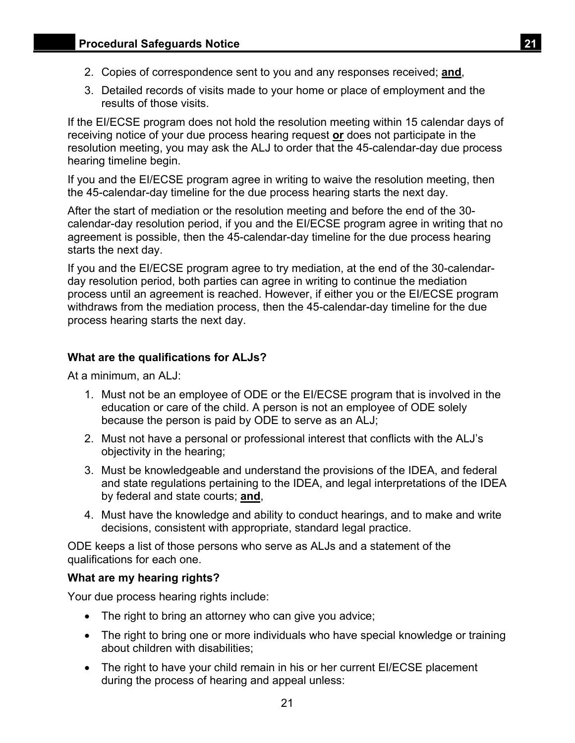- 
- 2. Copies of correspondence sent to you and any responses received; **and**,
- 3. Detailed records of visits made to your home or place of employment and the results of those visits.

If the EI/ECSE program does not hold the resolution meeting within 15 calendar days of receiving notice of your due process hearing request **or** does not participate in the resolution meeting, you may ask the ALJ to order that the 45-calendar-day due process hearing timeline begin.

If you and the EI/ECSE program agree in writing to waive the resolution meeting, then the 45-calendar-day timeline for the due process hearing starts the next day.

After the start of mediation or the resolution meeting and before the end of the 30 calendar-day resolution period, if you and the EI/ECSE program agree in writing that no agreement is possible, then the 45-calendar-day timeline for the due process hearing starts the next day.

If you and the EI/ECSE program agree to try mediation, at the end of the 30-calendarday resolution period, both parties can agree in writing to continue the mediation process until an agreement is reached. However, if either you or the EI/ECSE program withdraws from the mediation process, then the 45-calendar-day timeline for the due process hearing starts the next day.

## **What are the qualifications for ALJs?**

At a minimum, an ALJ:

- 1. Must not be an employee of ODE or the EI/ECSE program that is involved in the education or care of the child. A person is not an employee of ODE solely because the person is paid by ODE to serve as an ALJ;
- 2. Must not have a personal or professional interest that conflicts with the ALJ's objectivity in the hearing;
- 3. Must be knowledgeable and understand the provisions of the IDEA, and federal and state regulations pertaining to the IDEA, and legal interpretations of the IDEA by federal and state courts; **and**,
- 4. Must have the knowledge and ability to conduct hearings, and to make and write decisions, consistent with appropriate, standard legal practice.

ODE keeps a list of those persons who serve as ALJs and a statement of the qualifications for each one.

## **What are my hearing rights?**

Your due process hearing rights include:

- The right to bring an attorney who can give you advice;
- The right to bring one or more individuals who have special knowledge or training about children with disabilities;
- The right to have your child remain in his or her current EI/ECSE placement during the process of hearing and appeal unless: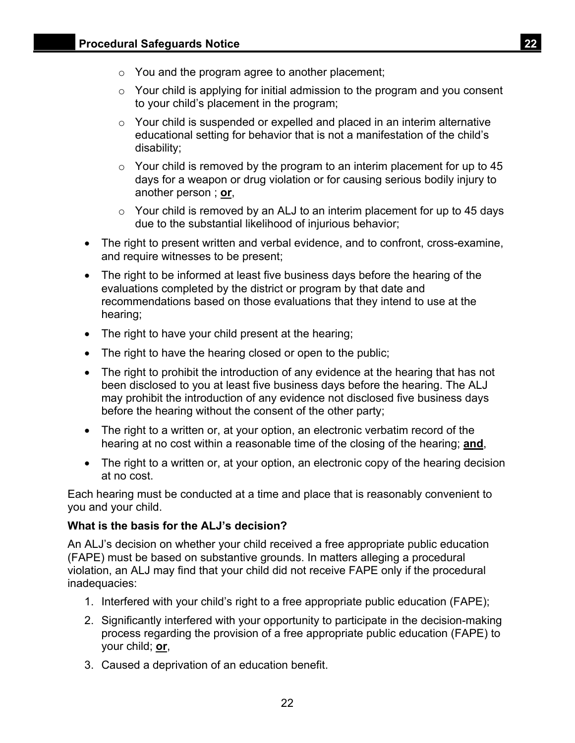- $\circ$  You and the program agree to another placement;
- $\circ$  Your child is applying for initial admission to the program and you consent to your child's placement in the program;
- o Your child is suspended or expelled and placed in an interim alternative educational setting for behavior that is not a manifestation of the child's disability;
- $\circ$  Your child is removed by the program to an interim placement for up to 45 days for a weapon or drug violation or for causing serious bodily injury to another person ; **or**,
- $\circ$  Your child is removed by an ALJ to an interim placement for up to 45 days due to the substantial likelihood of injurious behavior;
- The right to present written and verbal evidence, and to confront, cross-examine, and require witnesses to be present;
- The right to be informed at least five business days before the hearing of the evaluations completed by the district or program by that date and recommendations based on those evaluations that they intend to use at the hearing;
- The right to have your child present at the hearing;
- The right to have the hearing closed or open to the public;
- The right to prohibit the introduction of any evidence at the hearing that has not been disclosed to you at least five business days before the hearing. The ALJ may prohibit the introduction of any evidence not disclosed five business days before the hearing without the consent of the other party;
- The right to a written or, at your option, an electronic verbatim record of the hearing at no cost within a reasonable time of the closing of the hearing; **and**,
- The right to a written or, at your option, an electronic copy of the hearing decision at no cost.

Each hearing must be conducted at a time and place that is reasonably convenient to you and your child.

## **What is the basis for the ALJ's decision?**

An ALJ's decision on whether your child received a free appropriate public education (FAPE) must be based on substantive grounds. In matters alleging a procedural violation, an ALJ may find that your child did not receive FAPE only if the procedural inadequacies:

- 1. Interfered with your child's right to a free appropriate public education (FAPE);
- 2. Significantly interfered with your opportunity to participate in the decision-making process regarding the provision of a free appropriate public education (FAPE) to your child; **or**,
- 3. Caused a deprivation of an education benefit.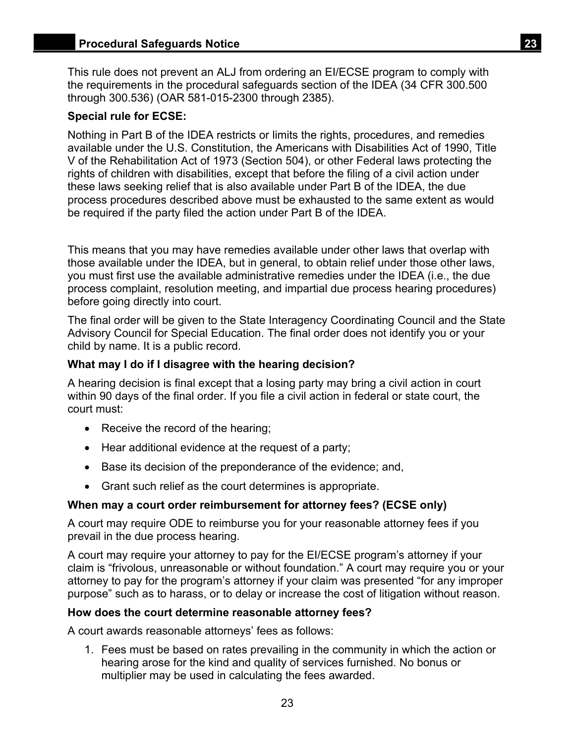This rule does not prevent an ALJ from ordering an EI/ECSE program to comply with the requirements in the procedural safeguards section of the IDEA (34 CFR 300.500 through 300.536) (OAR 581-015-2300 through 2385).

## **Special rule for ECSE:**

Nothing in Part B of the IDEA restricts or limits the rights, procedures, and remedies available under the U.S. Constitution, the Americans with Disabilities Act of 1990, Title V of the Rehabilitation Act of 1973 (Section 504), or other Federal laws protecting the rights of children with disabilities, except that before the filing of a civil action under these laws seeking relief that is also available under Part B of the IDEA, the due process procedures described above must be exhausted to the same extent as would be required if the party filed the action under Part B of the IDEA.

This means that you may have remedies available under other laws that overlap with those available under the IDEA, but in general, to obtain relief under those other laws, you must first use the available administrative remedies under the IDEA (i.e., the due process complaint, resolution meeting, and impartial due process hearing procedures) before going directly into court.

The final order will be given to the State Interagency Coordinating Council and the State Advisory Council for Special Education. The final order does not identify you or your child by name. It is a public record.

## **What may I do if I disagree with the hearing decision?**

A hearing decision is final except that a losing party may bring a civil action in court within 90 days of the final order. If you file a civil action in federal or state court, the court must:

- Receive the record of the hearing;
- Hear additional evidence at the request of a party;
- Base its decision of the preponderance of the evidence; and,
- Grant such relief as the court determines is appropriate.

## **When may a court order reimbursement for attorney fees? (ECSE only)**

A court may require ODE to reimburse you for your reasonable attorney fees if you prevail in the due process hearing.

A court may require your attorney to pay for the EI/ECSE program's attorney if your claim is "frivolous, unreasonable or without foundation." A court may require you or your attorney to pay for the program's attorney if your claim was presented "for any improper purpose" such as to harass, or to delay or increase the cost of litigation without reason.

## **How does the court determine reasonable attorney fees?**

A court awards reasonable attorneys' fees as follows:

1. Fees must be based on rates prevailing in the community in which the action or hearing arose for the kind and quality of services furnished. No bonus or multiplier may be used in calculating the fees awarded.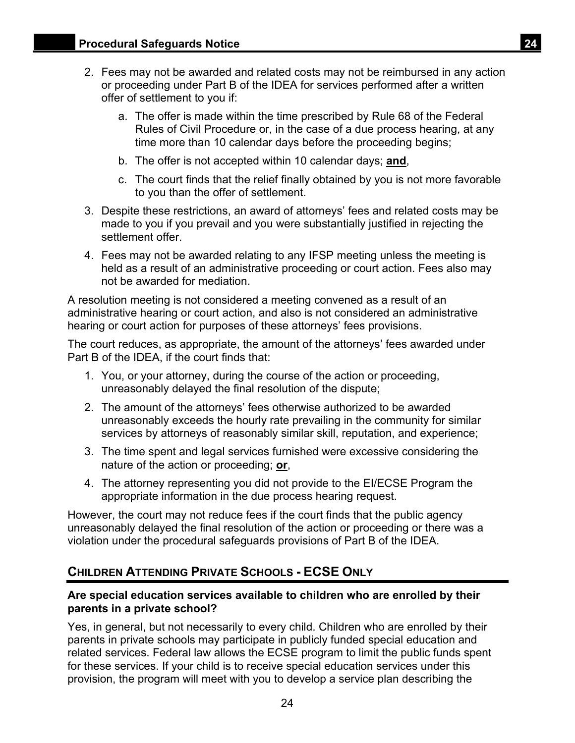- <span id="page-26-0"></span>2. Fees may not be awarded and related costs may not be reimbursed in any action or proceeding under Part B of the IDEA for services performed after a written offer of settlement to you if:
	- a. The offer is made within the time prescribed by Rule 68 of the Federal Rules of Civil Procedure or, in the case of a due process hearing, at any time more than 10 calendar days before the proceeding begins;
	- b. The offer is not accepted within 10 calendar days; **and**,
	- c. The court finds that the relief finally obtained by you is not more favorable to you than the offer of settlement.
- 3. Despite these restrictions, an award of attorneys' fees and related costs may be made to you if you prevail and you were substantially justified in rejecting the settlement offer.
- 4. Fees may not be awarded relating to any IFSP meeting unless the meeting is held as a result of an administrative proceeding or court action. Fees also may not be awarded for mediation.

A resolution meeting is not considered a meeting convened as a result of an administrative hearing or court action, and also is not considered an administrative hearing or court action for purposes of these attorneys' fees provisions.

The court reduces, as appropriate, the amount of the attorneys' fees awarded under Part B of the IDEA, if the court finds that:

- 1. You, or your attorney, during the course of the action or proceeding, unreasonably delayed the final resolution of the dispute;
- 2. The amount of the attorneys' fees otherwise authorized to be awarded unreasonably exceeds the hourly rate prevailing in the community for similar services by attorneys of reasonably similar skill, reputation, and experience;
- 3. The time spent and legal services furnished were excessive considering the nature of the action or proceeding; **or**,
- 4. The attorney representing you did not provide to the EI/ECSE Program the appropriate information in the due process hearing request.

However, the court may not reduce fees if the court finds that the public agency unreasonably delayed the final resolution of the action or proceeding or there was a violation under the procedural safeguards provisions of Part B of the IDEA.

## **CHILDREN ATTENDING PRIVATE SCHOOLS - ECSE ONLY**

## **Are special education services available to children who are enrolled by their parents in a private school?**

Yes, in general, but not necessarily to every child. Children who are enrolled by their parents in private schools may participate in publicly funded special education and related services. Federal law allows the ECSE program to limit the public funds spent for these services. If your child is to receive special education services under this provision, the program will meet with you to develop a service plan describing the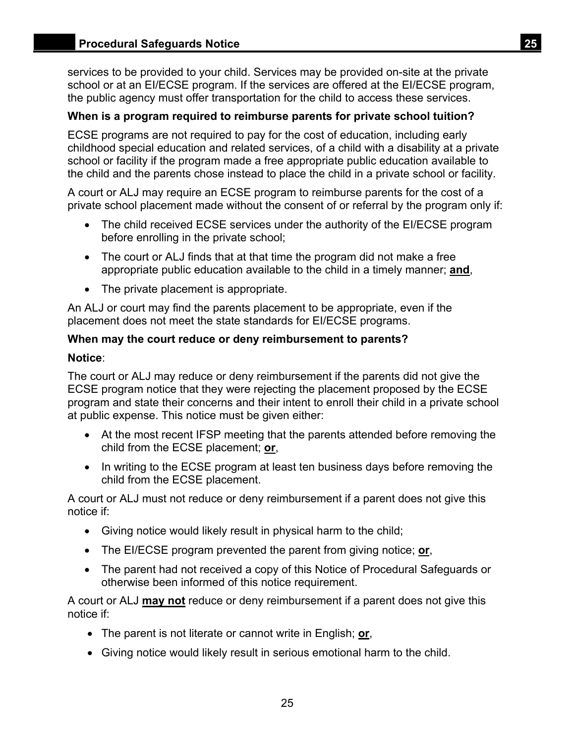services to be provided to your child. Services may be provided on-site at the private school or at an EI/ECSE program. If the services are offered at the EI/ECSE program, the public agency must offer transportation for the child to access these services.

## **When is a program required to reimburse parents for private school tuition?**

ECSE programs are not required to pay for the cost of education, including early childhood special education and related services, of a child with a disability at a private school or facility if the program made a free appropriate public education available to the child and the parents chose instead to place the child in a private school or facility.

A court or ALJ may require an ECSE program to reimburse parents for the cost of a private school placement made without the consent of or referral by the program only if:

- The child received ECSE services under the authority of the EI/ECSE program before enrolling in the private school;
- The court or ALJ finds that at that time the program did not make a free appropriate public education available to the child in a timely manner; **and**,
- The private placement is appropriate.

An ALJ or court may find the parents placement to be appropriate, even if the placement does not meet the state standards for EI/ECSE programs.

## **When may the court reduce or deny reimbursement to parents?**

#### **Notice**:

The court or ALJ may reduce or deny reimbursement if the parents did not give the ECSE program notice that they were rejecting the placement proposed by the ECSE program and state their concerns and their intent to enroll their child in a private school at public expense. This notice must be given either:

- At the most recent IFSP meeting that the parents attended before removing the child from the ECSE placement; **or**,
- In writing to the ECSE program at least ten business days before removing the child from the ECSE placement.

A court or ALJ must not reduce or deny reimbursement if a parent does not give this notice if:

- Giving notice would likely result in physical harm to the child;
- The EI/ECSE program prevented the parent from giving notice; **or**,
- The parent had not received a copy of this Notice of Procedural Safeguards or otherwise been informed of this notice requirement.

A court or ALJ **may not** reduce or deny reimbursement if a parent does not give this notice if:

- The parent is not literate or cannot write in English; **or**,
- Giving notice would likely result in serious emotional harm to the child.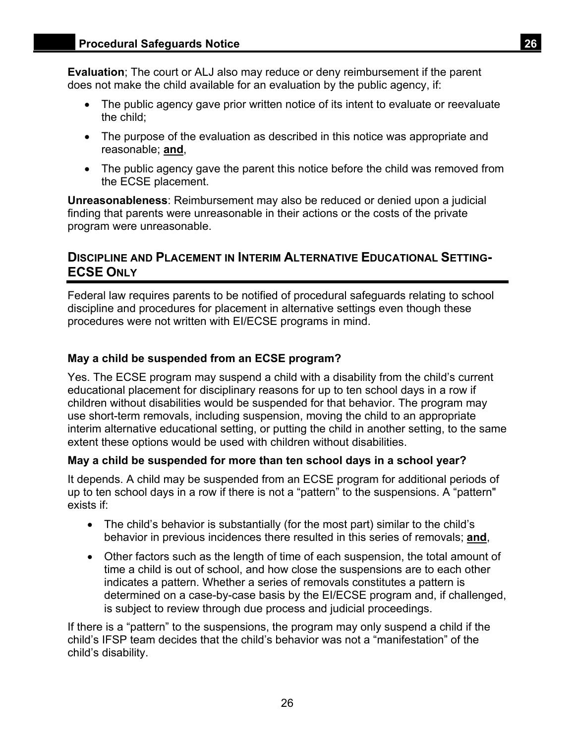<span id="page-28-0"></span>**Evaluation**; The court or ALJ also may reduce or deny reimbursement if the parent does not make the child available for an evaluation by the public agency, if:

- The public agency gave prior written notice of its intent to evaluate or reevaluate the child;
- The purpose of the evaluation as described in this notice was appropriate and reasonable; **and**,
- The public agency gave the parent this notice before the child was removed from the ECSE placement.

**Unreasonableness**: Reimbursement may also be reduced or denied upon a judicial finding that parents were unreasonable in their actions or the costs of the private program were unreasonable.

## **DISCIPLINE AND PLACEMENT IN INTERIM ALTERNATIVE EDUCATIONAL SETTING-ECSE ONLY**

Federal law requires parents to be notified of procedural safeguards relating to school discipline and procedures for placement in alternative settings even though these procedures were not written with EI/ECSE programs in mind.

## **May a child be suspended from an ECSE program?**

Yes. The ECSE program may suspend a child with a disability from the child's current educational placement for disciplinary reasons for up to ten school days in a row if children without disabilities would be suspended for that behavior. The program may use short-term removals, including suspension, moving the child to an appropriate interim alternative educational setting, or putting the child in another setting, to the same extent these options would be used with children without disabilities.

## **May a child be suspended for more than ten school days in a school year?**

It depends. A child may be suspended from an ECSE program for additional periods of up to ten school days in a row if there is not a "pattern" to the suspensions. A "pattern" exists if:

- The child's behavior is substantially (for the most part) similar to the child's behavior in previous incidences there resulted in this series of removals; **and**,
- Other factors such as the length of time of each suspension, the total amount of time a child is out of school, and how close the suspensions are to each other indicates a pattern. Whether a series of removals constitutes a pattern is determined on a case-by-case basis by the EI/ECSE program and, if challenged, is subject to review through due process and judicial proceedings.

If there is a "pattern" to the suspensions, the program may only suspend a child if the child's IFSP team decides that the child's behavior was not a "manifestation" of the child's disability.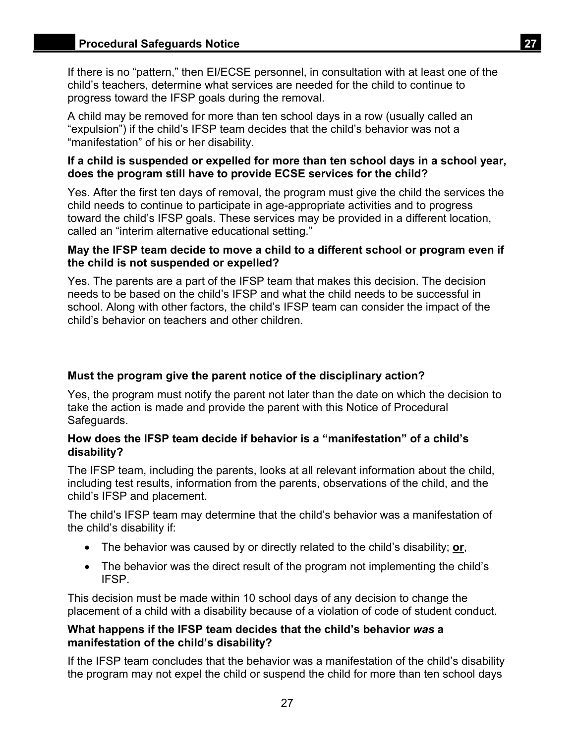If there is no "pattern," then EI/ECSE personnel, in consultation with at least one of the child's teachers, determine what services are needed for the child to continue to progress toward the IFSP goals during the removal.

A child may be removed for more than ten school days in a row (usually called an "expulsion") if the child's IFSP team decides that the child's behavior was not a "manifestation" of his or her disability.

## **If a child is suspended or expelled for more than ten school days in a school year, does the program still have to provide ECSE services for the child?**

Yes. After the first ten days of removal, the program must give the child the services the child needs to continue to participate in age-appropriate activities and to progress toward the child's IFSP goals. These services may be provided in a different location, called an "interim alternative educational setting."

### **May the IFSP team decide to move a child to a different school or program even if the child is not suspended or expelled?**

Yes. The parents are a part of the IFSP team that makes this decision. The decision needs to be based on the child's IFSP and what the child needs to be successful in school. Along with other factors, the child's IFSP team can consider the impact of the child's behavior on teachers and other children.

## **Must the program give the parent notice of the disciplinary action?**

Yes, the program must notify the parent not later than the date on which the decision to take the action is made and provide the parent with this Notice of Procedural Safeguards.

## **How does the IFSP team decide if behavior is a "manifestation" of a child's disability?**

The IFSP team, including the parents, looks at all relevant information about the child, including test results, information from the parents, observations of the child, and the child's IFSP and placement.

The child's IFSP team may determine that the child's behavior was a manifestation of the child's disability if:

- The behavior was caused by or directly related to the child's disability; **or**,
- The behavior was the direct result of the program not implementing the child's IFSP.

This decision must be made within 10 school days of any decision to change the placement of a child with a disability because of a violation of code of student conduct.

## **What happens if the IFSP team decides that the child's behavior** *was* **a manifestation of the child's disability?**

If the IFSP team concludes that the behavior was a manifestation of the child's disability the program may not expel the child or suspend the child for more than ten school days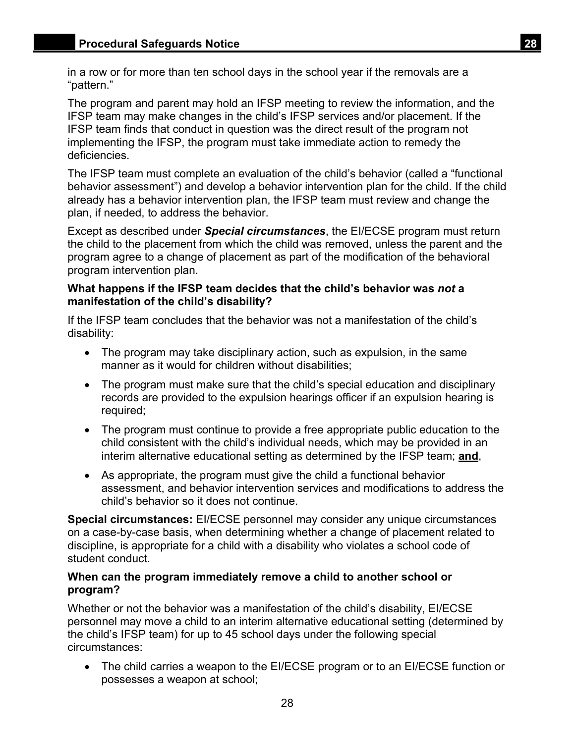in a row or for more than ten school days in the school year if the removals are a "pattern."

The program and parent may hold an IFSP meeting to review the information, and the IFSP team may make changes in the child's IFSP services and/or placement. If the IFSP team finds that conduct in question was the direct result of the program not implementing the IFSP, the program must take immediate action to remedy the deficiencies.

The IFSP team must complete an evaluation of the child's behavior (called a "functional behavior assessment") and develop a behavior intervention plan for the child. If the child already has a behavior intervention plan, the IFSP team must review and change the plan, if needed, to address the behavior.

Except as described under *Special circumstances*, the EI/ECSE program must return the child to the placement from which the child was removed, unless the parent and the program agree to a change of placement as part of the modification of the behavioral program intervention plan.

## **What happens if the IFSP team decides that the child's behavior was** *not* **a manifestation of the child's disability?**

If the IFSP team concludes that the behavior was not a manifestation of the child's disability:

- The program may take disciplinary action, such as expulsion, in the same manner as it would for children without disabilities;
- The program must make sure that the child's special education and disciplinary records are provided to the expulsion hearings officer if an expulsion hearing is required;
- The program must continue to provide a free appropriate public education to the child consistent with the child's individual needs, which may be provided in an interim alternative educational setting as determined by the IFSP team; **and**,
- As appropriate, the program must give the child a functional behavior assessment, and behavior intervention services and modifications to address the child's behavior so it does not continue.

**Special circumstances:** EI/ECSE personnel may consider any unique circumstances on a case-by-case basis, when determining whether a change of placement related to discipline, is appropriate for a child with a disability who violates a school code of student conduct.

## **When can the program immediately remove a child to another school or program?**

Whether or not the behavior was a manifestation of the child's disability, EI/ECSE personnel may move a child to an interim alternative educational setting (determined by the child's IFSP team) for up to 45 school days under the following special circumstances:

 The child carries a weapon to the EI/ECSE program or to an EI/ECSE function or possesses a weapon at school;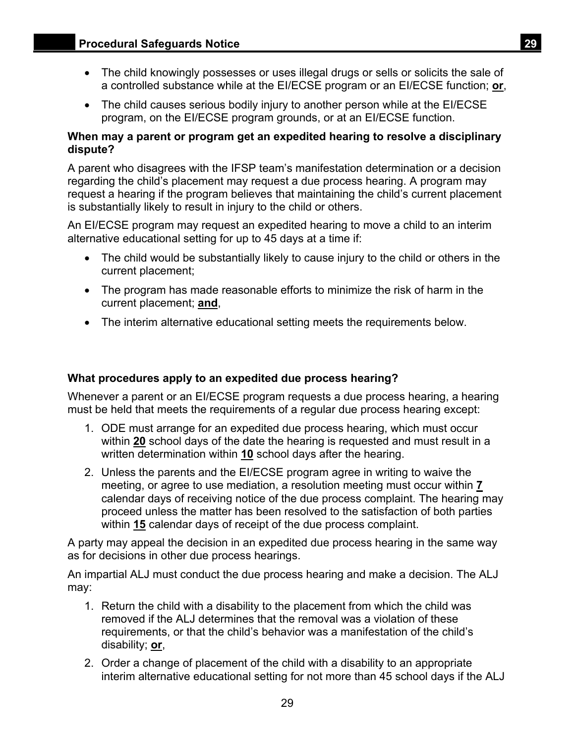- The child knowingly possesses or uses illegal drugs or sells or solicits the sale of a controlled substance while at the EI/ECSE program or an EI/ECSE function; **or**,
- The child causes serious bodily injury to another person while at the EI/ECSE program, on the EI/ECSE program grounds, or at an EI/ECSE function.

## **When may a parent or program get an expedited hearing to resolve a disciplinary dispute?**

A parent who disagrees with the IFSP team's manifestation determination or a decision regarding the child's placement may request a due process hearing. A program may request a hearing if the program believes that maintaining the child's current placement is substantially likely to result in injury to the child or others.

An EI/ECSE program may request an expedited hearing to move a child to an interim alternative educational setting for up to 45 days at a time if:

- The child would be substantially likely to cause injury to the child or others in the current placement;
- The program has made reasonable efforts to minimize the risk of harm in the current placement; **and**,
- The interim alternative educational setting meets the requirements below.

## **What procedures apply to an expedited due process hearing?**

Whenever a parent or an EI/ECSE program requests a due process hearing, a hearing must be held that meets the requirements of a regular due process hearing except:

- 1. ODE must arrange for an expedited due process hearing, which must occur within **20** school days of the date the hearing is requested and must result in a written determination within **10** school days after the hearing.
- 2. Unless the parents and the EI/ECSE program agree in writing to waive the meeting, or agree to use mediation, a resolution meeting must occur within **7**  calendar days of receiving notice of the due process complaint. The hearing may proceed unless the matter has been resolved to the satisfaction of both parties within **15** calendar days of receipt of the due process complaint.

A party may appeal the decision in an expedited due process hearing in the same way as for decisions in other due process hearings.

An impartial ALJ must conduct the due process hearing and make a decision. The ALJ may:

- 1. Return the child with a disability to the placement from which the child was removed if the ALJ determines that the removal was a violation of these requirements, or that the child's behavior was a manifestation of the child's disability; **or**,
- 2. Order a change of placement of the child with a disability to an appropriate interim alternative educational setting for not more than 45 school days if the ALJ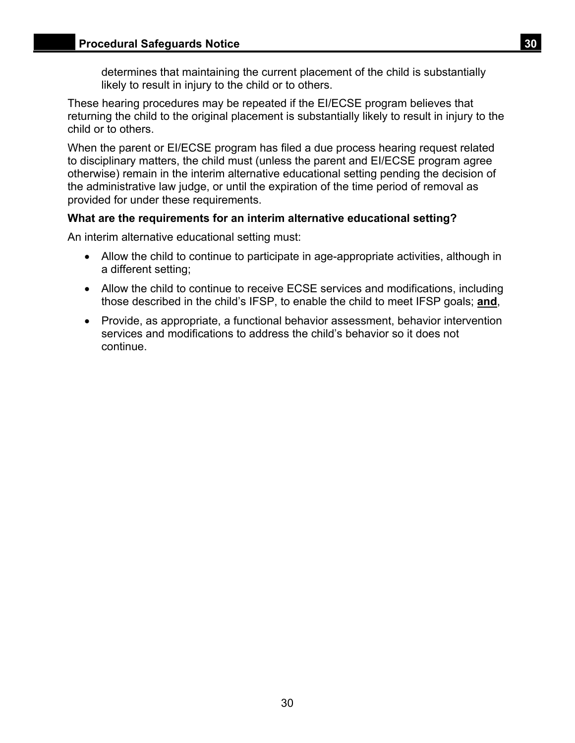determines that maintaining the current placement of the child is substantially likely to result in injury to the child or to others.

These hearing procedures may be repeated if the EI/ECSE program believes that returning the child to the original placement is substantially likely to result in injury to the child or to others.

When the parent or EI/ECSE program has filed a due process hearing request related to disciplinary matters, the child must (unless the parent and EI/ECSE program agree otherwise) remain in the interim alternative educational setting pending the decision of the administrative law judge, or until the expiration of the time period of removal as provided for under these requirements.

#### **What are the requirements for an interim alternative educational setting?**

An interim alternative educational setting must:

- Allow the child to continue to participate in age-appropriate activities, although in a different setting;
- Allow the child to continue to receive ECSE services and modifications, including those described in the child's IFSP, to enable the child to meet IFSP goals; **and**,
- Provide, as appropriate, a functional behavior assessment, behavior intervention services and modifications to address the child's behavior so it does not continue.